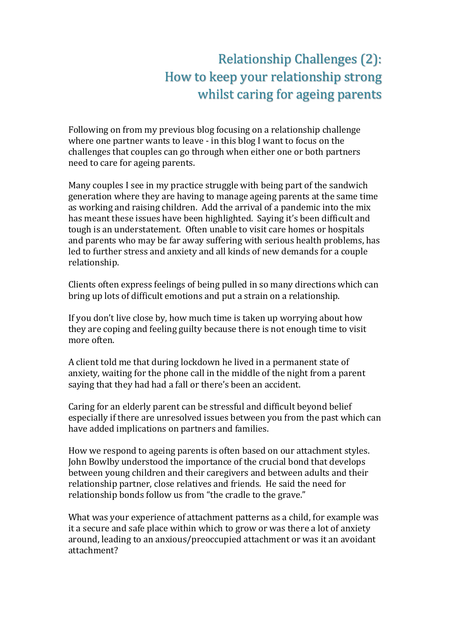# Relationship Challenges (2): How to keep your relationship strong whilst caring for ageing parents

Following on from my previous blog focusing on a relationship challenge where one partner wants to leave - in this blog I want to focus on the challenges that couples can go through when either one or both partners need to care for ageing parents.

Many couples I see in my practice struggle with being part of the sandwich generation where they are having to manage ageing parents at the same time as working and raising children. Add the arrival of a pandemic into the mix has meant these issues have been highlighted. Saying it's been difficult and tough is an understatement. Often unable to visit care homes or hospitals and parents who may be far away suffering with serious health problems, has led to further stress and anxiety and all kinds of new demands for a couple relationship.

Clients often express feelings of being pulled in so many directions which can bring up lots of difficult emotions and put a strain on a relationship.

If you don't live close by, how much time is taken up worrying about how they are coping and feeling guilty because there is not enough time to visit more often.

A client told me that during lockdown he lived in a permanent state of anxiety, waiting for the phone call in the middle of the night from a parent saying that they had had a fall or there's been an accident.

Caring for an elderly parent can be stressful and difficult beyond belief especially if there are unresolved issues between you from the past which can have added implications on partners and families.

How we respond to ageing parents is often based on our attachment styles. John Bowlby understood the importance of the crucial bond that develops between young children and their caregivers and between adults and their relationship partner, close relatives and friends. He said the need for relationship bonds follow us from "the cradle to the grave."

What was your experience of attachment patterns as a child, for example was it a secure and safe place within which to grow or was there a lot of anxiety around, leading to an anxious/preoccupied attachment or was it an avoidant attachment?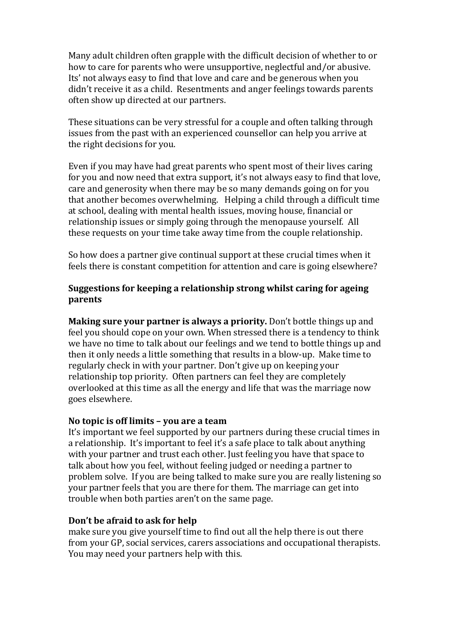Many adult children often grapple with the difficult decision of whether to or how to care for parents who were unsupportive, neglectful and/or abusive. Its' not always easy to find that love and care and be generous when you didn't receive it as a child. Resentments and anger feelings towards parents often show up directed at our partners.

These situations can be very stressful for a couple and often talking through issues from the past with an experienced counsellor can help you arrive at the right decisions for you.

Even if you may have had great parents who spent most of their lives caring for you and now need that extra support, it's not always easy to find that love, care and generosity when there may be so many demands going on for you that another becomes overwhelming. Helping a child through a difficult time at school, dealing with mental health issues, moving house, financial or relationship issues or simply going through the menopause yourself. All these requests on your time take away time from the couple relationship.

So how does a partner give continual support at these crucial times when it feels there is constant competition for attention and care is going elsewhere?

## **Suggestions for keeping a relationship strong whilst caring for ageing parents**

**Making sure your partner is always a priority.** Don't bottle things up and feel you should cope on your own. When stressed there is a tendency to think we have no time to talk about our feelings and we tend to bottle things up and then it only needs a little something that results in a blow-up. Make time to regularly check in with your partner. Don't give up on keeping your relationship top priority. Often partners can feel they are completely overlooked at this time as all the energy and life that was the marriage now goes elsewhere.

## **No topic is off limits – you are a team**

It's important we feel supported by our partners during these crucial times in a relationship. It's important to feel it's a safe place to talk about anything with your partner and trust each other. Just feeling you have that space to talk about how you feel, without feeling judged or needing a partner to problem solve. If you are being talked to make sure you are really listening so your partner feels that you are there for them. The marriage can get into trouble when both parties aren't on the same page.

## Don't be afraid to ask for help

make sure you give yourself time to find out all the help there is out there from your GP, social services, carers associations and occupational therapists. You may need your partners help with this.